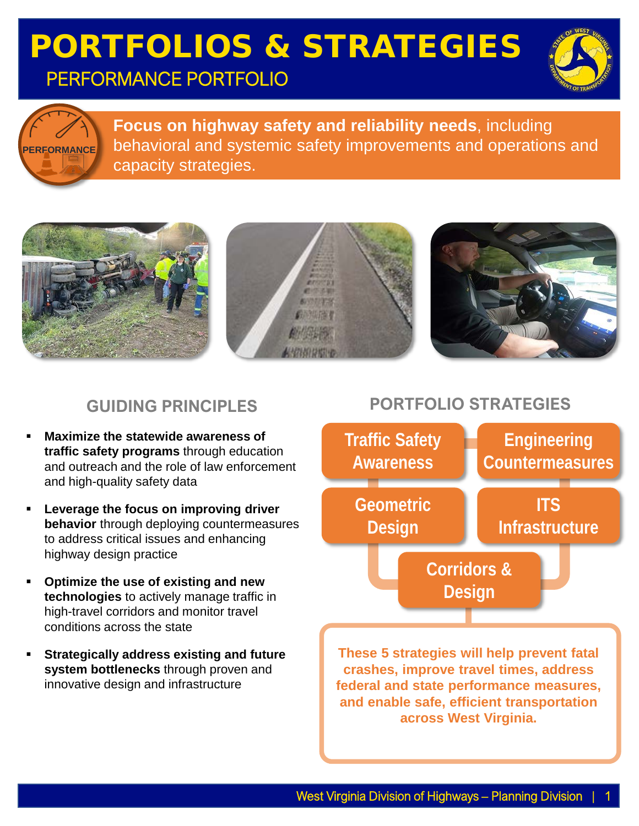## PORTFOLIOS & STRATEGIES PERFORMANCE PORTFOLIO





**Focus on highway safety and reliability needs**, including behavioral and systemic safety improvements and operations and capacity strategies.



#### **GUIDING PRINCIPLES**

- **Maximize the statewide awareness of traffic safety programs** through education and outreach and the role of law enforcement and high-quality safety data
- **Leverage the focus on improving driver behavior** through deploying countermeasures to address critical issues and enhancing highway design practice
- **Optimize the use of existing and new technologies** to actively manage traffic in high-travel corridors and monitor travel conditions across the state
- **Strategically address existing and future system bottlenecks** through proven and innovative design and infrastructure

#### **PORTFOLIO STRATEGIES**



**and enable safe, efficient transportation across West Virginia.**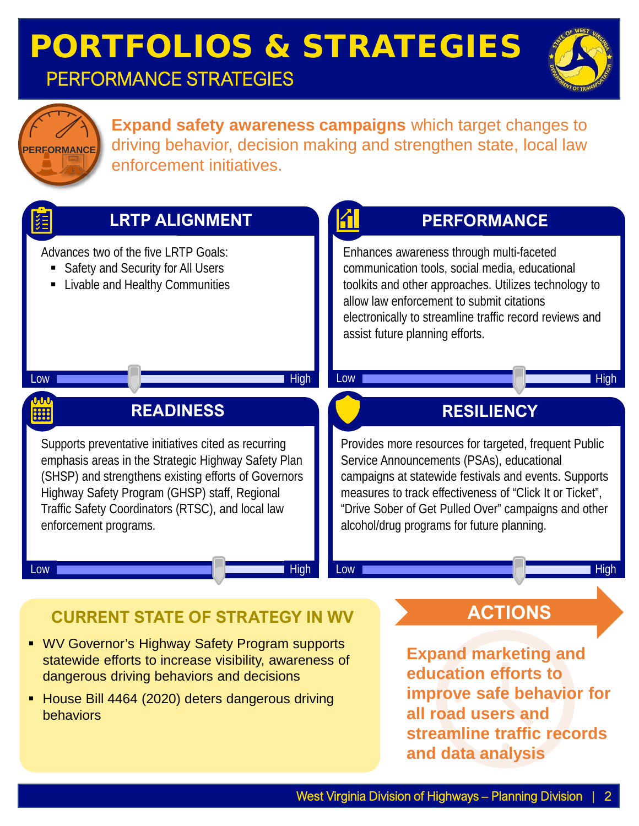



**Expand safety awareness campaigns** which target changes to driving behavior, decision making and strengthen state, local law enforcement initiatives.

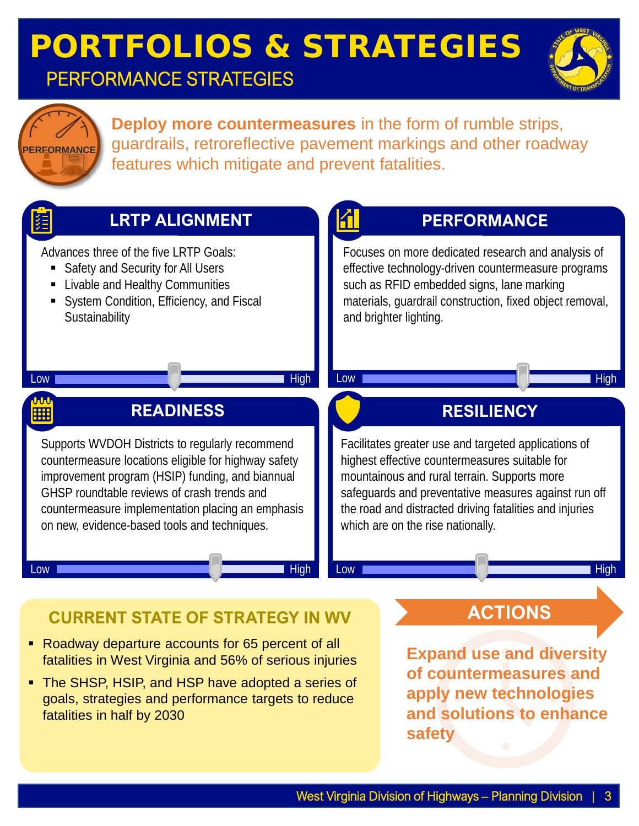



**Deploy more countermeasures** in the form of rumble strips, guardrails, retroreflective pavement markings and other roadway features which mitigate and prevent fatalities.

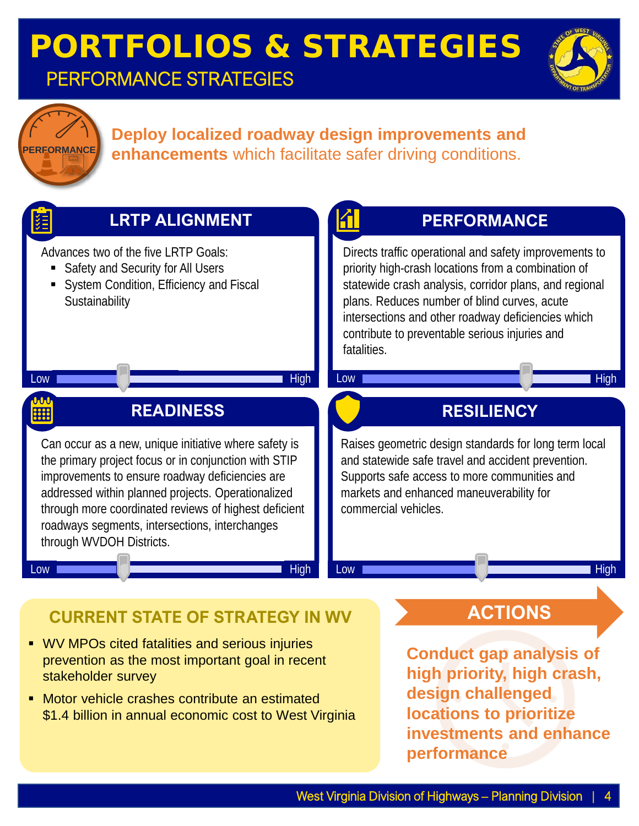



#### **Deploy localized roadway design improvements and enhancements** which facilitate safer driving conditions.



**• Motor vehicle crashes contribute an estimated** \$1.4 billion in annual economic cost to West Virginia **design challenged locations to prioritize investments and enhance performance**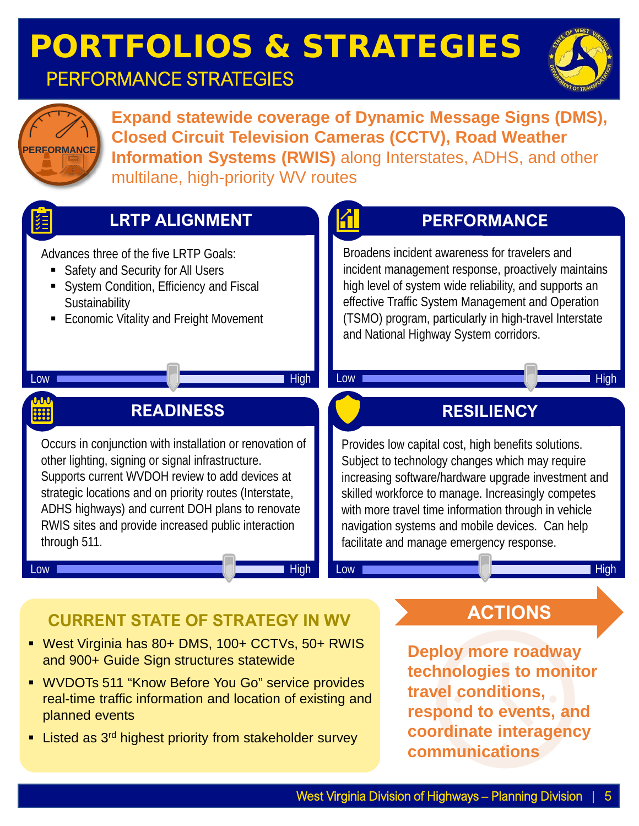# PORTFOLIOS & STRATEGIES

### PERFORMANCE STRATEGIES





**Expand statewide coverage of Dynamic Message Signs (DMS), Closed Circuit Television Cameras (CCTV), Road Weather Information Systems (RWIS)** along Interstates, ADHS, and other multilane, high-priority WV routes



## **CURRENT STATE OF STRATEGY IN WV ACTIONS**

- West Virginia has 80+ DMS, 100+ CCTVs, 50+ RWIS and 900+ Guide Sign structures statewide
- WVDOTs 511 "Know Before You Go" service provides real-time traffic information and location of existing and planned events
- **EXTER** Listed as 3<sup>rd</sup> highest priority from stakeholder survey

**Deploy more roadway technologies to monitor travel conditions, respond to events, and coordinate interagency communications**